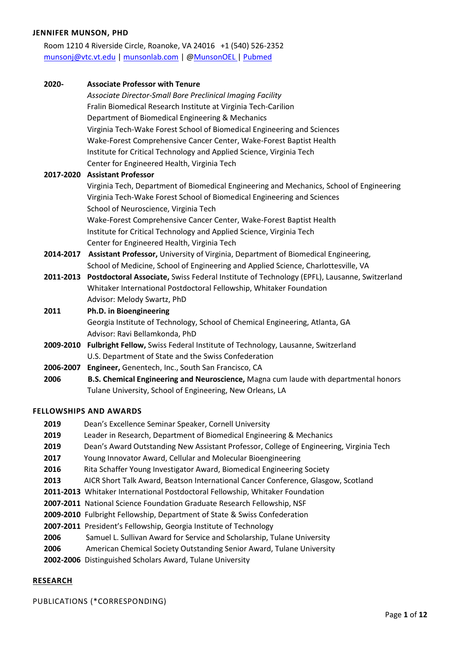#### **JENNIFER MUNSON, PHD**

Room 1210 4 Riverside Circle, Roanoke, VA 24016 +1 (540) 526-2352 [munsonj@vtc.vt.edu](mailto:munsonj@vtc.vt.edu) | [munsonlab.com](http://www.munsonlab.com/) | [@MunsonOEL](https://twitter.com/MunsonOEL) | [Pubmed](https://www.ncbi.nlm.nih.gov/sites/myncbi/jenny.munson.1/bibliography/42475479/public/?sort=date&direction=descending)

| 2020-     | <b>Associate Professor with Tenure</b>                                                                |
|-----------|-------------------------------------------------------------------------------------------------------|
|           | Associate Director-Small Bore Preclinical Imaging Facility                                            |
|           | Fralin Biomedical Research Institute at Virginia Tech-Carilion                                        |
|           | Department of Biomedical Engineering & Mechanics                                                      |
|           | Virginia Tech-Wake Forest School of Biomedical Engineering and Sciences                               |
|           | Wake-Forest Comprehensive Cancer Center, Wake-Forest Baptist Health                                   |
|           | Institute for Critical Technology and Applied Science, Virginia Tech                                  |
|           | Center for Engineered Health, Virginia Tech                                                           |
|           | 2017-2020 Assistant Professor                                                                         |
|           | Virginia Tech, Department of Biomedical Engineering and Mechanics, School of Engineering              |
|           | Virginia Tech-Wake Forest School of Biomedical Engineering and Sciences                               |
|           | School of Neuroscience, Virginia Tech                                                                 |
|           | Wake-Forest Comprehensive Cancer Center, Wake-Forest Baptist Health                                   |
|           | Institute for Critical Technology and Applied Science, Virginia Tech                                  |
|           | Center for Engineered Health, Virginia Tech                                                           |
|           | 2014-2017 Assistant Professor, University of Virginia, Department of Biomedical Engineering,          |
|           | School of Medicine, School of Engineering and Applied Science, Charlottesville, VA                    |
|           | 2011-2013 Postdoctoral Associate, Swiss Federal Institute of Technology (EPFL), Lausanne, Switzerland |
|           | Whitaker International Postdoctoral Fellowship, Whitaker Foundation                                   |
|           | Advisor: Melody Swartz, PhD                                                                           |
| 2011      | Ph.D. in Bioengineering                                                                               |
|           | Georgia Institute of Technology, School of Chemical Engineering, Atlanta, GA                          |
|           | Advisor: Ravi Bellamkonda, PhD                                                                        |
|           | 2009-2010 Fulbright Fellow, Swiss Federal Institute of Technology, Lausanne, Switzerland              |
|           | U.S. Department of State and the Swiss Confederation                                                  |
| 2006-2007 | Engineer, Genentech, Inc., South San Francisco, CA                                                    |
| 2006      | B.S. Chemical Engineering and Neuroscience, Magna cum laude with departmental honors                  |
|           | Tulane University, School of Engineering, New Orleans, LA                                             |

#### **FELLOWSHIPS AND AWARDS**

- **2019** Dean's Excellence Seminar Speaker, Cornell University
- **2019** Leader in Research, Department of Biomedical Engineering & Mechanics
- **2019** Dean's Award Outstanding New Assistant Professor, College of Engineering, Virginia Tech
- **2017** Young Innovator Award, Cellular and Molecular Bioengineering
- **2016** Rita Schaffer Young Investigator Award, Biomedical Engineering Society
- **2013** AICR Short Talk Award, Beatson International Cancer Conference, Glasgow, Scotland
- **2011-2013** Whitaker International Postdoctoral Fellowship, Whitaker Foundation
- **2007-2011** National Science Foundation Graduate Research Fellowship, NSF
- **2009-2010** Fulbright Fellowship, Department of State & Swiss Confederation
- **2007-2011** President's Fellowship, Georgia Institute of Technology
- **2006** Samuel L. Sullivan Award for Service and Scholarship, Tulane University
- **2006** American Chemical Society Outstanding Senior Award, Tulane University
- **2002-2006** Distinguished Scholars Award, Tulane University

#### **RESEARCH**

PUBLICATIONS (\*CORRESPONDING)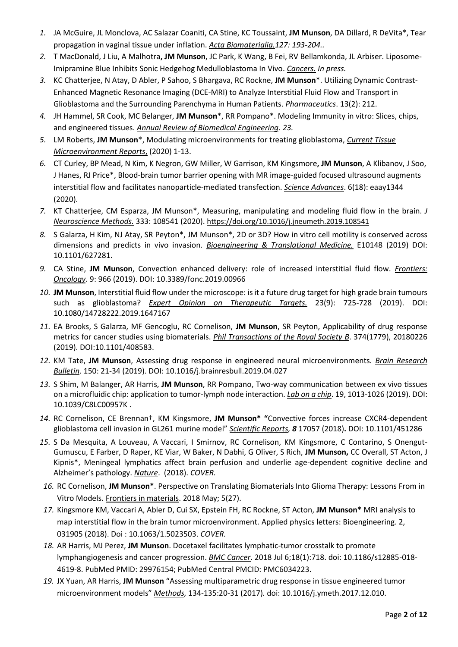- *1.* JA McGuire, JL Monclova, AC Salazar Coaniti, CA Stine, KC Toussaint, **JM Munson**, DA Dillard, R DeVita\*, Tear propagation in vaginal tissue under inflation. *Acta Biomaterialia.127: 193-204..*
- *2.* T MacDonald, J Liu, A Malhotra**, JM Munson**, JC Park, K Wang, B Fei, RV Bellamkonda, JL Arbiser. Liposome-Imipramine Blue Inhibits Sonic Hedgehog Medulloblastoma In Vivo. *Cancers. In press.*
- *3.* KC Chatterjee, N Atay, D Abler, P Sahoo, S Bhargava, RC Rockne, **JM Munson**\*. Utilizing Dynamic Contrast-Enhanced Magnetic Resonance Imaging (DCE-MRI) to Analyze Interstitial Fluid Flow and Transport in Glioblastoma and the Surrounding Parenchyma in Human Patients. *Pharmaceutics*. 13(2): 212.
- *4.* JH Hammel, SR Cook, MC Belanger, **JM Munson**\*, RR Pompano\*. Modeling Immunity in vitro: Slices, chips, and engineered tissues. *Annual Review of Biomedical Engineering*. *23.*
- *5.* LM Roberts, **JM Munson**\*, Modulating microenvironments for treating glioblastoma, *Current Tissue Microenvironment Reports*, (2020) 1-13.
- *6.* CT Curley, BP Mead, N Kim, K Negron, GW Miller, W Garrison, KM Kingsmore**, JM Munson**, A Klibanov, J Soo, J Hanes, RJ Price\*, Blood-brain tumor barrier opening with MR image-guided focused ultrasound augments interstitial flow and facilitates nanoparticle-mediated transfection. *Science Advances*. 6(18): eaay1344 (2020).
- *7.* KT Chatterjee, CM Esparza, JM Munson\*, Measuring, manipulating and modeling fluid flow in the brain. *J Neuroscience Methods.* 333: 108541 (2020). <https://doi.org/10.1016/j.jneumeth.2019.108541>
- *8.* S Galarza, H Kim, NJ Atay, SR Peyton\*, JM Munson\*, 2D or 3D? How in vitro cell motility is conserved across dimensions and predicts in vivo invasion. *Bioengineering & Translational Medicine.* E10148 (2019) DOI: 10.1101/627281.
- *9.* CA Stine, **JM Munson**, Convection enhanced delivery: role of increased interstitial fluid flow. *Frontiers: Oncology*. 9: 966 (2019). DOI: 10.3389/fonc.2019.00966
- *10.* **JM Munson**, Interstitial fluid flow under the microscope: is it a future drug target for high grade brain tumours such as glioblastoma? *Expert Opinion on Therapeutic Targets.* 23(9): 725-728 (2019). DOI: 10.1080/14728222.2019.1647167
- *11.* EA Brooks, S Galarza, MF Gencoglu, RC Cornelison, **JM Munson**, SR Peyton, Applicability of drug response metrics for cancer studies using biomaterials. *Phil Transactions of the Royal Society B*. 374(1779), 20180226 (2019). DOI:10.1101/408583.
- *12.* KM Tate, **JM Munson**, Assessing drug response in engineered neural microenvironments. *Brain Research Bulletin*. 150: 21-34 (2019). DOI: 10.1016/j.brainresbull.2019.04.027
- *13.* S Shim, M Balanger, AR Harris, **JM Munson**, RR Pompano, Two-way communication between ex vivo tissues on a microfluidic chip: application to tumor-lymph node interaction. *Lab on a chip*. 19, 1013-1026 (2019). DOI: 10.1039/C8LC00957K .
- *14.* RC Cornelison, CE Brennan†, KM Kingsmore, **JM Munson\* "**Convective forces increase CXCR4-dependent glioblastoma cell invasion in GL261 murine model" *Scientific Reports, 8* 17057 (2018)**.** DOI: 10.1101/451286
- *15.* S Da Mesquita, A Louveau, A Vaccari, I Smirnov, RC Cornelison, KM Kingsmore, C Contarino, S Onengut-Gumuscu, E Farber, D Raper, KE Viar, W Baker, N Dabhi, G Oliver, S Rich, **JM Munson,** CC Overall, ST Acton, J Kipnis\*, Meningeal lymphatics affect brain perfusion and underlie age-dependent cognitive decline and Alzheimer's pathology. *Nature*. (2018). *COVER.*
- *16.* RC Cornelison, **JM Munson\***. Perspective on Translating Biomaterials Into Glioma Therapy: Lessons From in Vitro Models. Frontiers in materials. 2018 May; 5(27).
- *17.* Kingsmore KM, Vaccari A, Abler D, Cui SX, Epstein FH, RC Rockne, ST Acton, **JM Munson\*** MRI analysis to map interstitial flow in the brain tumor microenvironment. Applied physics letters: Bioengineering. 2, 031905 (2018). Doi : 10.1063/1.5023503. *COVER.*
- *18.* AR Harris, MJ Perez, **JM Munson**. Docetaxel facilitates lymphatic-tumor crosstalk to promote lymphangiogenesis and cancer progression. *BMC Cancer*. 2018 Jul 6;18(1):718. doi: 10.1186/s12885-018- 4619-8. PubMed PMID: 29976154; PubMed Central PMCID: PMC6034223.
- *19.* JX Yuan, AR Harris, **JM Munson** "Assessing multiparametric drug response in tissue engineered tumor microenvironment models" *Methods,* 134-135:20-31 (2017)*.* doi: 10.1016/j.ymeth.2017.12.010.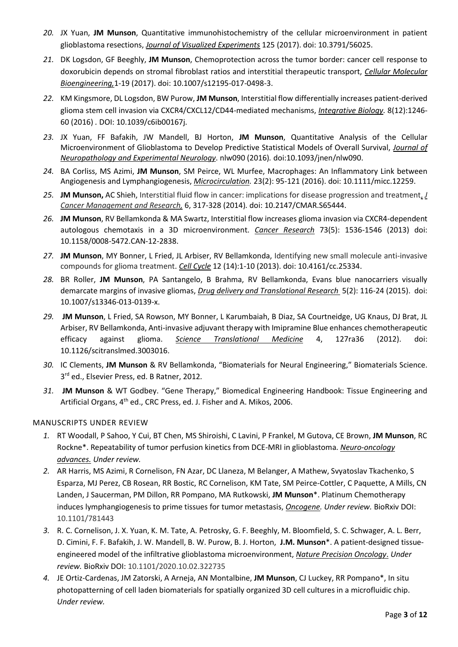- *20.* JX Yuan, **JM Munson**, Quantitative immunohistochemistry of the cellular microenvironment in patient glioblastoma resections, *Journal of Visualized Experiments* 125 (2017). doi: 10.3791/56025.
- *21.* DK Logsdon, GF Beeghly, **JM Munson**, Chemoprotection across the tumor border: cancer cell response to doxorubicin depends on stromal fibroblast ratios and interstitial therapeutic transport, *Cellular Molecular Bioengineering,*1-19 (2017). doi: 10.1007/s12195-017-0498-3.
- *22.* KM Kingsmore, DL Logsdon, BW Purow, **JM Munson**, Interstitial flow differentially increases patient-derived glioma stem cell invasion via CXCR4/CXCL12/CD44-mediated mechanisms, *Integrative Biology.* 8(12):1246- 60 (2016) *.* DOI: 10.1039/c6ib00167j.
- *23.* JX Yuan, FF Bafakih, JW Mandell, BJ Horton, **JM Munson**, Quantitative Analysis of the Cellular Microenvironment of Glioblastoma to Develop Predictive Statistical Models of Overall Survival, *Journal of Neuropathology and Experimental Neurology*. nlw090 (2016)*.* doi:10.1093/jnen/nlw090.
- *24.* BA Corliss, MS Azimi, **JM Munson**, SM Peirce, WL Murfee, Macrophages: An Inflammatory Link between Angiogenesis and Lymphangiogenesis, *Microcirculation.* 23(2): 95-121 (2016). doi: 10.1111/micc.12259.
- *25.* **JM Munson,** AC Shieh, Interstitial fluid flow in cancer: implications for disease progression and treatment, *J Cancer Management and Research,* 6, 317-328 (2014)*.* doi: 10.2147/CMAR.S65444.
- *26.* **JM Munson**, RV Bellamkonda & MA Swartz, Interstitial flow increases glioma invasion via CXCR4-dependent autologous chemotaxis in a 3D microenvironment. *Cancer Research* 73(5): 1536-1546 (2013) doi: 10.1158/0008-5472.CAN-12-2838.
- *27.* **JM Munson**, MY Bonner, L Fried, JL Arbiser, RV Bellamkonda, Identifying new small molecule anti-invasive compounds for glioma treatment. *Cell Cycle* 12 (14):1-10 (2013). doi: 10.4161/cc.25334.
- *28.* BR Roller, **JM Munson**, PA Santangelo, B Brahma, RV Bellamkonda, Evans blue nanocarriers visually demarcate margins of invasive gliomas, *Drug delivery and Translational Research* 5(2): 116-24 (2015). doi: 10.1007/s13346-013-0139-x.
- *29.* **JM Munson**, L Fried, SA Rowson, MY Bonner, L Karumbaiah, B Diaz, SA Courtneidge, UG Knaus, DJ Brat, JL Arbiser, RV Bellamkonda, Anti-invasive adjuvant therapy with Imipramine Blue enhances chemotherapeutic efficacy against glioma. *Science Translational Medicine* 4, 127ra36 (2012). doi: 10.1126/scitranslmed.3003016.
- *30.* IC Clements, **JM Munson** & RV Bellamkonda, "Biomaterials for Neural Engineering," Biomaterials Science. 3 rd ed., Elsevier Press, ed. B Ratner, 2012*.*
- *31.* **JM Munson** & WT Godbey. "Gene Therapy," Biomedical Engineering Handbook: Tissue Engineering and Artificial Organs, 4<sup>th</sup> ed., CRC Press, ed. J. Fisher and A. Mikos, 2006.

# MANUSCRIPTS UNDER REVIEW

- *1.* RT Woodall, P Sahoo, Y Cui, BT Chen, MS Shiroishi, C Lavini, P Frankel, M Gutova, CE Brown, **JM Munson**, RC Rockne\*. Repeatability of tumor perfusion kinetics from DCE-MRI in glioblastoma. *Neuro-oncology advances. Under review.*
- *2.* AR Harris, MS Azimi, R Cornelison, FN Azar, DC Llaneza, M Belanger, A Mathew, Svyatoslav Tkachenko, S Esparza, MJ Perez, CB Rosean, RR Bostic, RC Cornelison, KM Tate, SM Peirce-Cottler, C Paquette, A Mills, CN Landen, J Saucerman, PM Dillon, RR Pompano, MA Rutkowski, **JM Munson**\*. Platinum Chemotherapy induces lymphangiogenesis to prime tissues for tumor metastasis, *Oncogene. Under review.* BioRxiv DOI: 10.1101/781443
- *3.* R. C. Cornelison, J. X. Yuan, K. M. Tate, A. Petrosky, G. F. Beeghly, M. Bloomfield, S. C. Schwager, A. L. Berr, D. Cimini, F. F. Bafakih, J. W. Mandell, B. W. Purow, B. J. Horton, **J.M. Munson**\*. A patient-designed tissueengineered model of the infiltrative glioblastoma microenvironment, *Nature Precision Oncology*. *Under review.* BioRxiv DOI: 10.1101/2020.10.02.322735
- *4.* JE Ortiz-Cardenas, JM Zatorski, A Arneja, AN Montalbine, **JM Munson**, CJ Luckey, RR Pompano\*, In situ photopatterning of cell laden biomaterials for spatially organized 3D cell cultures in a microfluidic chip. *Under review.*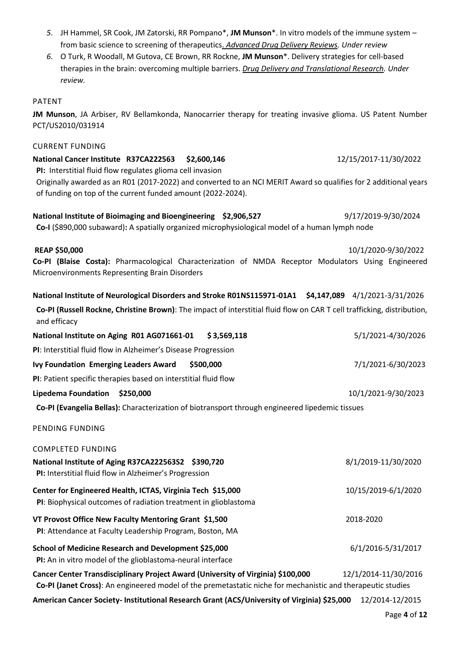- *5.* JH Hammel, SR Cook, JM Zatorski, RR Pompano\*, **JM Munson**\*. In vitro models of the immune system from basic science to screening of therapeutics. *Advanced Drug Delivery Reviews. Under review*
- *6.* O Turk, R Woodall, M Gutova, CE Brown, RR Rockne, **JM Munson**\*. Delivery strategies for cell-based therapies in the brain: overcoming multiple barriers. *Drug Delivery and Translational Research. Under review.*

# PATENT

**JM Munson**, JA Arbiser, RV Bellamkonda, Nanocarrier therapy for treating invasive glioma. US Patent Number PCT/US2010/031914

# CURRENT FUNDING

# **National Cancer Institute R37CA222563 \$2,600,146** 12/15/2017-11/30/2022 **PI:** Interstitial fluid flow regulates glioma cell invasion Originally awarded as an R01 (2017-2022) and converted to an NCI MERIT Award so qualifies for 2 additional years of funding on top of the current funded amount (2022-2024).

**National Institute of Bioimaging and Bioengineering \$2,906,527** 9/17/2019-9/30/2024

**Co-I** (\$890,000 subaward)**:** A spatially organized microphysiological model of a human lymph node

# **REAP \$50,000** 10/1/2020-9/30/2022 **Co-PI (Blaise Costa):** Pharmacological Characterization of NMDA Receptor Modulators Using Engineered Microenvironments Representing Brain Disorders

| National Institute of Neurological Disorders and Stroke R01NS115971-01A1 \$4,147,089 4/1/2021-3/31/2026 |  |  |
|---------------------------------------------------------------------------------------------------------|--|--|
|---------------------------------------------------------------------------------------------------------|--|--|

**Co-PI (Russell Rockne, Christine Brown)**: The impact of interstitial fluid flow on CAR T cell trafficking, distribution, and efficacy

| National Institute on Aging R01 AG071661-01<br>\$3.569.118      | 5/1/2021-4/30/2026 |
|-----------------------------------------------------------------|--------------------|
| PI: Interstitial fluid flow in Alzheimer's Disease Progression  |                    |
| Ivy Foundation Emerging Leaders Award<br>\$500,000              | 7/1/2021-6/30/2023 |
| PI: Patient specific therapies based on interstitial fluid flow |                    |

# **Lipedema Foundation \$250,000** 10/1/2021-9/30/2023

**Co-PI (Evangelia Bellas):** Characterization of biotransport through engineered lipedemic tissues

# PENDING FUNDING

| <b>COMPLETED FUNDING</b>                                                                                                                                                                        |                      |
|-------------------------------------------------------------------------------------------------------------------------------------------------------------------------------------------------|----------------------|
| National Institute of Aging R37CA222563S2 \$390,720<br>PI: Interstitial fluid flow in Alzheimer's Progression                                                                                   | 8/1/2019-11/30/2020  |
|                                                                                                                                                                                                 |                      |
| Center for Engineered Health, ICTAS, Virginia Tech \$15,000<br>PI: Biophysical outcomes of radiation treatment in glioblastoma                                                                  | 10/15/2019-6/1/2020  |
| VT Provost Office New Faculty Mentoring Grant \$1,500                                                                                                                                           | 2018-2020            |
| PI: Attendance at Faculty Leadership Program, Boston, MA                                                                                                                                        |                      |
| School of Medicine Research and Development \$25,000<br>PI: An in vitro model of the glioblastoma-neural interface                                                                              | 6/1/2016-5/31/2017   |
| Cancer Center Transdisciplinary Project Award (University of Virginia) \$100,000<br>Co-PI (Janet Cross): An engineered model of the premetastatic niche for mechanistic and therapeutic studies | 12/1/2014-11/30/2016 |

**American Cancer Society- Institutional Research Grant (ACS/University of Virginia) \$25,000** 12/2014-12/2015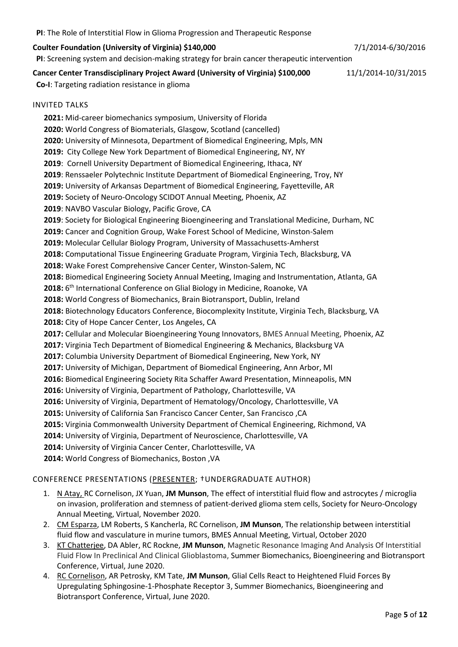**PI**: The Role of Interstitial Flow in Glioma Progression and Therapeutic Response

# **Coulter Foundation (University of Virginia) \$140,000** 7/1/2014-6/30/2016

**PI**: Screening system and decision-making strategy for brain cancer therapeutic intervention

# **Cancer Center Transdisciplinary Project Award (University of Virginia) \$100,000** 11/1/2014-10/31/2015

**Co-I**: Targeting radiation resistance in glioma

# INVITED TALKS

**2021:** Mid-career biomechanics symposium, University of Florida **2020:** World Congress of Biomaterials, Glasgow, Scotland (cancelled) **2020:** University of Minnesota, Department of Biomedical Engineering, Mpls, MN **2019:** City College New York Department of Biomedical Engineering, NY, NY **2019**: Cornell University Department of Biomedical Engineering, Ithaca, NY **2019**: Renssaeler Polytechnic Institute Department of Biomedical Engineering, Troy, NY **2019:** University of Arkansas Department of Biomedical Engineering, Fayetteville, AR **2019:** Society of Neuro-Oncology SCIDOT Annual Meeting, Phoenix, AZ **2019**: NAVBO Vascular Biology, Pacific Grove, CA **2019**: Society for Biological Engineering Bioengineering and Translational Medicine, Durham, NC **2019:** Cancer and Cognition Group, Wake Forest School of Medicine, Winston-Salem **2019:** Molecular Cellular Biology Program, University of Massachusetts-Amherst **2018:** Computational Tissue Engineering Graduate Program, Virginia Tech, Blacksburg, VA **2018:** Wake Forest Comprehensive Cancer Center, Winston-Salem, NC **2018:** Biomedical Engineering Society Annual Meeting, Imaging and Instrumentation, Atlanta, GA 2018: 6<sup>th</sup> International Conference on Glial Biology in Medicine, Roanoke, VA **2018:** World Congress of Biomechanics, Brain Biotransport, Dublin, Ireland **2018:** Biotechnology Educators Conference, Biocomplexity Institute, Virginia Tech, Blacksburg, VA **2018:** City of Hope Cancer Center, Los Angeles, CA **2017:** Cellular and Molecular Bioengineering Young Innovators, BMES Annual Meeting, Phoenix, AZ **2017:** Virginia Tech Department of Biomedical Engineering & Mechanics, Blacksburg VA **2017:** Columbia University Department of Biomedical Engineering, New York, NY **2017:** University of Michigan, Department of Biomedical Engineering, Ann Arbor, MI **2016:** Biomedical Engineering Society Rita Schaffer Award Presentation, Minneapolis, MN **2016:** University of Virginia, Department of Pathology, Charlottesville, VA **2016:** University of Virginia, Department of Hematology/Oncology, Charlottesville, VA **2015:** University of California San Francisco Cancer Center, San Francisco ,CA **2015:** Virginia Commonwealth University Department of Chemical Engineering, Richmond, VA **2014:** University of Virginia, Department of Neuroscience, Charlottesville, VA **2014:** University of Virginia Cancer Center, Charlottesville, VA **2014:** World Congress of Biomechanics, Boston ,VA

# CONFERENCE PRESENTATIONS (PRESENTER; †UNDERGRADUATE AUTHOR)

- 1. N Atay, RC Cornelison, JX Yuan, **JM Munson**, The effect of interstitial fluid flow and astrocytes / microglia on invasion, proliferation and stemness of patient-derived glioma stem cells, Society for Neuro-Oncology Annual Meeting, Virtual, November 2020.
- 2. CM Esparza, LM Roberts, S Kancherla, RC Cornelison, **JM Munson**, The relationship between interstitial fluid flow and vasculature in murine tumors, BMES Annual Meeting, Virtual, October 2020
- 3. KT Chatterjee, DA Abler, RC Rockne, **JM Munson**, Magnetic Resonance Imaging And Analysis Of Interstitial Fluid Flow In Preclinical And Clinical Glioblastoma, Summer Biomechanics, Bioengineering and Biotransport Conference, Virtual, June 2020.
- 4. RC Cornelison, AR Petrosky, KM Tate, **JM Munson**, Glial Cells React to Heightened Fluid Forces By Upregulating Sphingosine-1-Phosphate Receptor 3, Summer Biomechanics, Bioengineering and Biotransport Conference, Virtual, June 2020.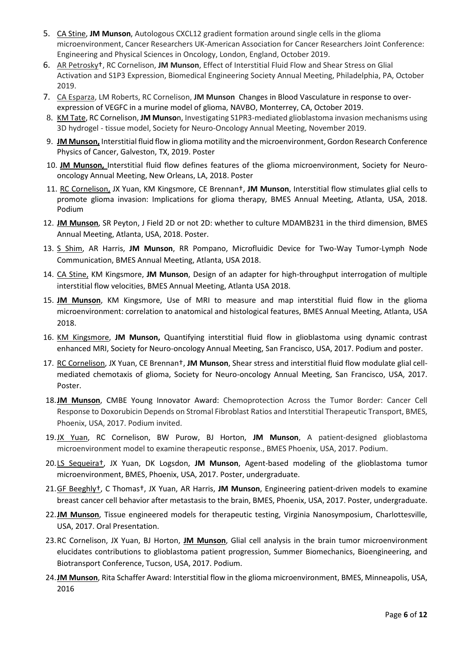- 5. CA Stine, **JM Munson**, Autologous CXCL12 gradient formation around single cells in the glioma microenvironment, Cancer Researchers UK-American Association for Cancer Researchers Joint Conference: Engineering and Physical Sciences in Oncology, London, England, October 2019.
- 6. AR Petrosky†, RC Cornelison, **JM Munson**, Effect of Interstitial Fluid Flow and Shear Stress on Glial Activation and S1P3 Expression, Biomedical Engineering Society Annual Meeting, Philadelphia, PA, October 2019.
- 7. CA Esparza, LM Roberts, RC Cornelison, **JM Munson** Changes in Blood Vasculature in response to overexpression of VEGFC in a murine model of glioma, NAVBO, Monterrey, CA, October 2019.
- 8. KM Tate, RC Cornelison, **JM Munso**n, Investigating S1PR3-mediated glioblastoma invasion mechanisms using 3D hydrogel - tissue model, Society for Neuro-Oncology Annual Meeting, November 2019.
- 9. **JM Munson,** Interstitial fluid flow in glioma motility and the microenvironment, Gordon Research Conference Physics of Cancer, Galveston, TX, 2019. Poster
- 10. **JM Munson,** Interstitial fluid flow defines features of the glioma microenvironment, Society for Neurooncology Annual Meeting, New Orleans, LA, 2018. Poster
- 11. RC Cornelison, JX Yuan, KM Kingsmore, CE Brennan†, **JM Munson**, Interstitial flow stimulates glial cells to promote glioma invasion: Implications for glioma therapy, BMES Annual Meeting, Atlanta, USA, 2018. Podium
- 12. **JM Munson**, SR Peyton, J Field 2D or not 2D: whether to culture MDAMB231 in the third dimension, BMES Annual Meeting, Atlanta, USA, 2018. Poster.
- 13. S Shim, AR Harris, **JM Munson**, RR Pompano, Microfluidic Device for Two-Way Tumor-Lymph Node Communication, BMES Annual Meeting, Atlanta, USA 2018.
- 14. CA Stine, KM Kingsmore, **JM Munson**, Design of an adapter for high-throughput interrogation of multiple interstitial flow velocities, BMES Annual Meeting, Atlanta USA 2018.
- 15. **JM Munson**, KM Kingsmore, Use of MRI to measure and map interstitial fluid flow in the glioma microenvironment: correlation to anatomical and histological features, BMES Annual Meeting, Atlanta, USA 2018.
- 16. KM Kingsmore, **JM Munson,** Quantifying interstitial fluid flow in glioblastoma using dynamic contrast enhanced MRI, Society for Neuro-oncology Annual Meeting, San Francisco, USA, 2017. Podium and poster.
- 17. RC Cornelison, JX Yuan, CE Brennan†, **JM Munson**, Shear stress and interstitial fluid flow modulate glial cellmediated chemotaxis of glioma, Society for Neuro-oncology Annual Meeting, San Francisco, USA, 2017. Poster.
- 18.**JM Munson**, CMBE Young Innovator Award: Chemoprotection Across the Tumor Border: Cancer Cell Response to Doxorubicin Depends on Stromal Fibroblast Ratios and Interstitial Therapeutic Transport, BMES, Phoenix, USA, 2017. Podium invited.
- 19.JX Yuan, RC Cornelison, BW Purow, BJ Horton, **JM Munson**, A patient-designed glioblastoma microenvironment model to examine therapeutic response., BMES Phoenix, USA, 2017. Podium.
- 20.LS Sequeira†, JX Yuan, DK Logsdon, **JM Munson**, Agent-based modeling of the glioblastoma tumor microenvironment, BMES, Phoenix, USA, 2017. Poster, undergraduate.
- 21.GF Beeghly†, C Thomas†, JX Yuan, AR Harris, **JM Munson**, Engineering patient-driven models to examine breast cancer cell behavior after metastasis to the brain, BMES, Phoenix, USA, 2017. Poster, undergraduate.
- 22.**JM Munson**, Tissue engineered models for therapeutic testing, Virginia Nanosymposium, Charlottesville, USA, 2017. Oral Presentation.
- 23.RC Cornelison, JX Yuan, BJ Horton, **JM Munson**, Glial cell analysis in the brain tumor microenvironment elucidates contributions to glioblastoma patient progression, Summer Biomechanics, Bioengineering, and Biotransport Conference, Tucson, USA, 2017. Podium.
- 24.**JM Munson**, Rita Schaffer Award: Interstitial flow in the glioma microenvironment, BMES, Minneapolis, USA, 2016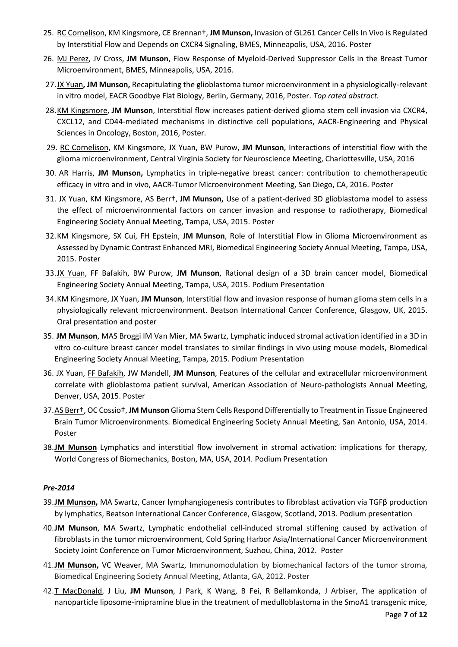- 25. RC Cornelison, KM Kingsmore, CE Brennan†, **JM Munson,** Invasion of GL261 Cancer Cells In Vivo is Regulated by Interstitial Flow and Depends on CXCR4 Signaling, BMES, Minneapolis, USA, 2016. Poster
- 26. MJ Perez, JV Cross, **JM Munson**, Flow Response of Myeloid-Derived Suppressor Cells in the Breast Tumor Microenvironment, BMES, Minneapolis, USA, 2016.
- 27.JX Yuan**, JM Munson,** Recapitulating the glioblastoma tumor microenvironment in a physiologically-relevant in vitro model, EACR Goodbye Flat Biology, Berlin, Germany, 2016, Poster. *Top rated abstract.*
- 28.KM Kingsmore, **JM Munson**, Interstitial flow increases patient-derived glioma stem cell invasion via CXCR4, CXCL12, and CD44-mediated mechanisms in distinctive cell populations, AACR-Engineering and Physical Sciences in Oncology, Boston, 2016, Poster.
- 29. RC Cornelison, KM Kingsmore, JX Yuan, BW Purow, **JM Munson**, Interactions of interstitial flow with the glioma microenvironment, Central Virginia Society for Neuroscience Meeting, Charlottesville, USA, 2016
- 30. AR Harris, **JM Munson,** Lymphatics in triple-negative breast cancer: contribution to chemotherapeutic efficacy in vitro and in vivo, AACR-Tumor Microenvironment Meeting, San Diego, CA, 2016. Poster
- 31. JX Yuan, KM Kingsmore, AS Berr†, **JM Munson,** Use of a patient-derived 3D glioblastoma model to assess the effect of microenvironmental factors on cancer invasion and response to radiotherapy, Biomedical Engineering Society Annual Meeting, Tampa, USA, 2015. Poster
- 32.KM Kingsmore, SX Cui, FH Epstein, **JM Munson**, Role of Interstitial Flow in Glioma Microenvironment as Assessed by Dynamic Contrast Enhanced MRI, Biomedical Engineering Society Annual Meeting, Tampa, USA, 2015. Poster
- 33.JX Yuan, FF Bafakih, BW Purow, **JM Munson**, Rational design of a 3D brain cancer model, Biomedical Engineering Society Annual Meeting, Tampa, USA, 2015. Podium Presentation
- 34.KM Kingsmore, JX Yuan, **JM Munson**, Interstitial flow and invasion response of human glioma stem cells in a physiologically relevant microenvironment. Beatson International Cancer Conference, Glasgow, UK, 2015. Oral presentation and poster
- 35. **JM Munson**, MAS Broggi IM Van Mier, MA Swartz, Lymphatic induced stromal activation identified in a 3D in vitro co-culture breast cancer model translates to similar findings in vivo using mouse models, Biomedical Engineering Society Annual Meeting, Tampa, 2015. Podium Presentation
- 36. JX Yuan, FF Bafakih, JW Mandell, **JM Munson**, Features of the cellular and extracellular microenvironment correlate with glioblastoma patient survival, American Association of Neuro-pathologists Annual Meeting, Denver, USA, 2015. Poster
- 37.AS Berr†, OC Cossio†, **JM Munson** Glioma Stem Cells Respond Differentially to Treatment in Tissue Engineered Brain Tumor Microenvironments. Biomedical Engineering Society Annual Meeting, San Antonio, USA, 2014. Poster
- 38.**JM Munson** Lymphatics and interstitial flow involvement in stromal activation: implications for therapy, World Congress of Biomechanics, Boston, MA, USA, 2014. Podium Presentation

# *Pre-2014*

- 39.**JM Munson,** MA Swartz, Cancer lymphangiogenesis contributes to fibroblast activation via TGFβ production by lymphatics, Beatson International Cancer Conference, Glasgow, Scotland, 2013. Podium presentation
- 40.**JM Munson**, MA Swartz, Lymphatic endothelial cell-induced stromal stiffening caused by activation of fibroblasts in the tumor microenvironment, Cold Spring Harbor Asia/International Cancer Microenvironment Society Joint Conference on Tumor Microenvironment, Suzhou, China, 2012. Poster
- 41.**JM Munson,** VC Weaver, MA Swartz, Immunomodulation by biomechanical factors of the tumor stroma, Biomedical Engineering Society Annual Meeting, Atlanta, GA, 2012. Poster
- 42.T MacDonald, J Liu, **JM Munson**, J Park, K Wang, B Fei, R Bellamkonda, J Arbiser, The application of nanoparticle liposome-imipramine blue in the treatment of medulloblastoma in the SmoA1 transgenic mice,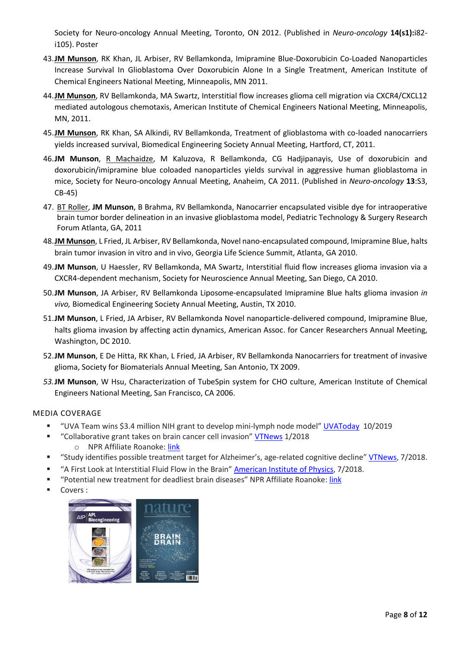Society for Neuro-oncology Annual Meeting, Toronto, ON 2012. (Published in *Neuro-oncology* **14(s1):**i82 i105). Poster

- 43.**JM Munson**, RK Khan, JL Arbiser, RV Bellamkonda, Imipramine Blue-Doxorubicin Co-Loaded Nanoparticles Increase Survival In Glioblastoma Over Doxorubicin Alone In a Single Treatment, American Institute of Chemical Engineers National Meeting, Minneapolis, MN 2011.
- 44.**JM Munson**, RV Bellamkonda, MA Swartz, Interstitial flow increases glioma cell migration via CXCR4/CXCL12 mediated autologous chemotaxis, American Institute of Chemical Engineers National Meeting, Minneapolis, MN, 2011.
- 45.**JM Munson**, RK Khan, SA Alkindi, RV Bellamkonda, Treatment of glioblastoma with co-loaded nanocarriers yields increased survival, Biomedical Engineering Society Annual Meeting, Hartford, CT, 2011.
- 46.**JM Munson**, R Machaidze, M Kaluzova, R Bellamkonda, CG Hadjipanayis, Use of doxorubicin and doxorubicin/imipramine blue coloaded nanoparticles yields survival in aggressive human glioblastoma in mice, Society for Neuro-oncology Annual Meeting, Anaheim, CA 2011. (Published in *Neuro-oncology* **13**:S3, CB-45)
- 47. BT Roller, **JM Munson**, B Brahma, RV Bellamkonda, Nanocarrier encapsulated visible dye for intraoperative brain tumor border delineation in an invasive glioblastoma model, Pediatric Technology & Surgery Research Forum Atlanta, GA, 2011
- 48.**JM Munson**, L Fried, JL Arbiser, RV Bellamkonda, Novel nano-encapsulated compound, Imipramine Blue, halts brain tumor invasion in vitro and in vivo, Georgia Life Science Summit, Atlanta, GA 2010.
- 49.**JM Munson**, U Haessler, RV Bellamkonda, MA Swartz, Interstitial fluid flow increases glioma invasion via a CXCR4-dependent mechanism, Society for Neuroscience Annual Meeting, San Diego, CA 2010.
- 50.**JM Munson**, JA Arbiser, RV Bellamkonda Liposome-encapsulated Imipramine Blue halts glioma invasion *in vivo,* Biomedical Engineering Society Annual Meeting, Austin, TX 2010.
- 51.**JM Munson**, L Fried, JA Arbiser, RV Bellamkonda Novel nanoparticle-delivered compound, Imipramine Blue, halts glioma invasion by affecting actin dynamics, American Assoc. for Cancer Researchers Annual Meeting, Washington, DC 2010.
- 52.**JM Munson**, E De Hitta, RK Khan, L Fried, JA Arbiser, RV Bellamkonda Nanocarriers for treatment of invasive glioma, Society for Biomaterials Annual Meeting, San Antonio, TX 2009.
- *53.***JM Munson**, W Hsu, Characterization of TubeSpin system for CHO culture, American Institute of Chemical Engineers National Meeting, San Francisco, CA 2006.

# MEDIA COVERAGE

- "UVA Team wins \$3.4 million NIH grant to develop mini-lymph node model" [UVAToday](https://news.virginia.edu/content/uva-team-wins-34-million-nih-grant-develop-mini-lymph-node-model) 10/2019
- " "Collaborative grant takes on brain cancer cell invasion" [VTNews](https://vtnews.vt.edu/articles/2018/01/collaborative-grant-brain-cancer-cell-invasion.html) 1/2018 o NPR Affiliate Roanoke: [link](http://wvtf.org/post/vt-leads-glioblastoma-study)
- " "Study identifies possible treatment target for Alzheimer's, age-related cognitive decline" [VTNews,](https://vtnews.vt.edu/articles/2018/07/drainage-brain-treatment-Alzheimer) 7/2018.
- "A First Look at Interstitial Fluid Flow in the Brain" American [Institute of Physics,](https://publishing.aip.org/publishing/journal-highlights/first-look-interstitial-fluid-flow-brain) 7/2018.
- "Potential new treatment for deadliest brain diseases" NPR Affiliate Roanoke: [link](http://www.wvtf.org/post/potential-new-treatment-deadliest-brain-diseases#stream/0)
- Covers :

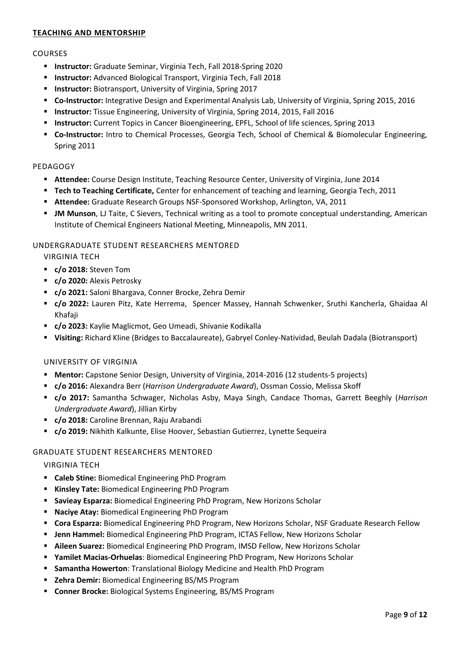# **TEACHING AND MENTORSHIP**

#### COURSES

- **Instructor:** Graduate Seminar, Virginia Tech, Fall 2018-Spring 2020
- **Instructor:** Advanced Biological Transport, Virginia Tech, Fall 2018
- **Instructor:** Biotransport, University of Virginia, Spring 2017
- **Co-Instructor:** Integrative Design and Experimental Analysis Lab, University of Virginia, Spring 2015, 2016
- **Instructor:** Tissue Engineering, University of Virginia, Spring 2014, 2015, Fall 2016
- **Instructor:** Current Topics in Cancer Bioengineering, EPFL, School of life sciences, Spring 2013
- **Co-Instructor:** Intro to Chemical Processes, Georgia Tech, School of Chemical & Biomolecular Engineering, Spring 2011

#### PEDAGOGY

- **Attendee:** Course Design Institute, Teaching Resource Center, University of Virginia, June 2014
- **Tech to Teaching Certificate,** Center for enhancement of teaching and learning, Georgia Tech, 2011
- **Attendee:** Graduate Research Groups NSF-Sponsored Workshop, Arlington, VA, 2011
- **JM Munson**, LJ Taite, C Sievers, Technical writing as a tool to promote conceptual understanding, American Institute of Chemical Engineers National Meeting, Minneapolis, MN 2011.

#### UNDERGRADUATE STUDENT RESEARCHERS MENTORED

VIRGINIA TECH

- **c/o 2018:** Steven Tom
- **c/o 2020:** Alexis Petrosky
- **c/o 2021:** Saloni Bhargava, Conner Brocke, Zehra Demir
- **c/o 2022:** Lauren Pitz, Kate Herrema, Spencer Massey, Hannah Schwenker, Sruthi Kancherla, Ghaidaa Al Khafaji
- **c/o 2023:** Kaylie Maglicmot, Geo Umeadi, Shivanie Kodikalla
- **Visiting:** Richard Kline (Bridges to Baccalaureate), Gabryel Conley-Natividad, Beulah Dadala (Biotransport)

#### UNIVERSITY OF VIRGINIA

- **Mentor:** Capstone Senior Design, University of Virginia, 2014-2016 (12 students-5 projects)
- **c/o 2016:** Alexandra Berr (*Harrison Undergraduate Award*), Ossman Cossio, Melissa Skoff
- **c/o 2017:** Samantha Schwager, Nicholas Asby, Maya Singh, Candace Thomas, Garrett Beeghly (*Harrison Undergraduate Award*), Jillian Kirby
- **c/o 2018:** Caroline Brennan, Raju Arabandi
- **c/o 2019:** Nikhith Kalkunte, Elise Hoover, Sebastian Gutierrez, Lynette Sequeira

#### GRADUATE STUDENT RESEARCHERS MENTORED

#### VIRGINIA TECH

- **Caleb Stine:** Biomedical Engineering PhD Program
- **Kinsley Tate:** Biomedical Engineering PhD Program
- **Savieay Esparza:** Biomedical Engineering PhD Program, New Horizons Scholar
- **Naciye Atay:** Biomedical Engineering PhD Program
- **Cora Esparza:** Biomedical Engineering PhD Program, New Horizons Scholar, NSF Graduate Research Fellow
- **Jenn Hammel:** Biomedical Engineering PhD Program, ICTAS Fellow, New Horizons Scholar
- **Aileen Suarez:** Biomedical Engineering PhD Program, IMSD Fellow, New Horizons Scholar
- **Yamilet Macias-Orhuelas**: Biomedical Engineering PhD Program, New Horizons Scholar
- **Samantha Howerton**: Translational Biology Medicine and Health PhD Program
- **Zehra Demir:** Biomedical Engineering BS/MS Program
- **Conner Brocke:** Biological Systems Engineering, BS/MS Program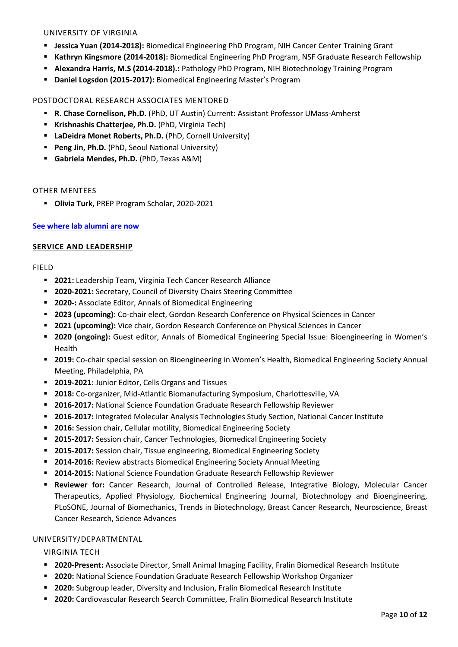#### UNIVERSITY OF VIRGINIA

- **Jessica Yuan (2014-2018):** Biomedical Engineering PhD Program, NIH Cancer Center Training Grant
- **Kathryn Kingsmore (2014-2018):** Biomedical Engineering PhD Program, NSF Graduate Research Fellowship
- **Alexandra Harris, M.S (2014-2018).:** Pathology PhD Program, NIH Biotechnology Training Program
- **Daniel Logsdon (2015-2017):** Biomedical Engineering Master's Program

#### POSTDOCTORAL RESEARCH ASSOCIATES MENTORED

- **R. Chase Cornelison, Ph.D.** (PhD, UT Austin) Current: Assistant Professor UMass-Amherst
- **Krishnashis Chatterjee, Ph.D.** (PhD, Virginia Tech)
- **LaDeidra Monet Roberts, Ph.D.** (PhD, Cornell University)
- **Peng Jin, Ph.D.** (PhD, Seoul National University)
- **Gabriela Mendes, Ph.D.** (PhD, Texas A&M)

#### OTHER MENTEES

**Olivia Turk,** PREP Program Scholar, 2020-2021

#### **[See where lab alumni are now](https://www.munsonlab.com/alumni)**

#### **SERVICE AND LEADERSHIP**

#### FIELD

- **2021:** Leadership Team, Virginia Tech Cancer Research Alliance
- **2020-2021:** Secretary, Council of Diversity Chairs Steering Committee
- **2020-:** Associate Editor, Annals of Biomedical Engineering
- **2023 (upcoming)**: Co-chair elect, Gordon Research Conference on Physical Sciences in Cancer
- **2021 (upcoming):** Vice chair, Gordon Research Conference on Physical Sciences in Cancer
- **2020 (ongoing):** Guest editor, Annals of Biomedical Engineering Special Issue: Bioengineering in Women's Health
- **2019:** Co-chair special session on Bioengineering in Women's Health, Biomedical Engineering Society Annual Meeting, Philadelphia, PA
- **2019-2021**: Junior Editor, Cells Organs and Tissues
- **2018:** Co-organizer, Mid-Atlantic Biomanufacturing Symposium, Charlottesville, VA
- **2016-2017:** National Science Foundation Graduate Research Fellowship Reviewer
- **2016-2017:** Integrated Molecular Analysis Technologies Study Section, National Cancer Institute
- **2016:** Session chair, Cellular motility, Biomedical Engineering Society
- **2015-2017:** Session chair, Cancer Technologies, Biomedical Engineering Society
- **2015-2017:** Session chair, Tissue engineering, Biomedical Engineering Society
- **2014-2016:** Review abstracts Biomedical Engineering Society Annual Meeting
- **2014-2015:** National Science Foundation Graduate Research Fellowship Reviewer
- **Reviewer for:** Cancer Research, Journal of Controlled Release, Integrative Biology, Molecular Cancer Therapeutics, Applied Physiology, Biochemical Engineering Journal, Biotechnology and Bioengineering, PLoSONE, Journal of Biomechanics, Trends in Biotechnology, Breast Cancer Research, Neuroscience, Breast Cancer Research, Science Advances

#### UNIVERSITY/DEPARTMENTAL

VIRGINIA TECH

- **2020-Present:** Associate Director, Small Animal Imaging Facility, Fralin Biomedical Research Institute
- **2020:** National Science Foundation Graduate Research Fellowship Workshop Organizer
- **2020:** Subgroup leader, Diversity and Inclusion, Fralin Biomedical Research Institute
- **2020:** Cardiovascular Research Search Committee, Fralin Biomedical Research Institute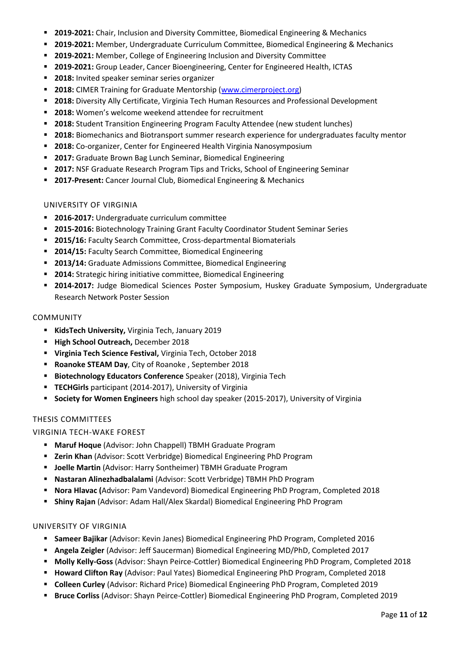- **2019-2021:** Chair, Inclusion and Diversity Committee, Biomedical Engineering & Mechanics
- **2019-2021:** Member, Undergraduate Curriculum Committee, Biomedical Engineering & Mechanics
- **2019-2021:** Member, College of Engineering Inclusion and Diversity Committee
- **2019-2021:** Group Leader, Cancer Bioengineering, Center for Engineered Health, ICTAS
- **2018:** Invited speaker seminar series organizer
- **2018:** CIMER Training for Graduate Mentorship [\(www.cimerproject.org\)](http://www.cimerproject.org/)
- **2018:** Diversity Ally Certificate, Virginia Tech Human Resources and Professional Development
- **2018:** Women's welcome weekend attendee for recruitment
- **2018:** Student Transition Engineering Program Faculty Attendee (new student lunches)
- **2018:** Biomechanics and Biotransport summer research experience for undergraduates faculty mentor
- **2018:** Co-organizer, Center for Engineered Health Virginia Nanosymposium
- **2017:** Graduate Brown Bag Lunch Seminar, Biomedical Engineering
- **2017:** NSF Graduate Research Program Tips and Tricks, School of Engineering Seminar
- **2017-Present:** Cancer Journal Club, Biomedical Engineering & Mechanics

#### UNIVERSITY OF VIRGINIA

- **2016-2017:** Undergraduate curriculum committee
- **2015-2016:** Biotechnology Training Grant Faculty Coordinator Student Seminar Series
- **2015/16:** Faculty Search Committee, Cross-departmental Biomaterials
- **2014/15:** Faculty Search Committee, Biomedical Engineering
- **2013/14:** Graduate Admissions Committee, Biomedical Engineering
- **2014:** Strategic hiring initiative committee, Biomedical Engineering
- **2014-2017:** Judge Biomedical Sciences Poster Symposium, Huskey Graduate Symposium, Undergraduate Research Network Poster Session

#### COMMUNITY

- **KidsTech University,** Virginia Tech, January 2019
- **High School Outreach, December 2018**
- **Virginia Tech Science Festival,** Virginia Tech, October 2018
- **Roanoke STEAM Day**, City of Roanoke , September 2018
- **Biotechnology Educators Conference** Speaker (2018), Virginia Tech
- **TECHGirls** participant (2014-2017), University of Virginia
- **Society for Women Engineers** high school day speaker (2015-2017), University of Virginia

#### THESIS COMMITTEES

#### VIRGINIA TECH-WAKE FOREST

- **Maruf Hoque** (Advisor: John Chappell) TBMH Graduate Program
- **Zerin Khan** (Advisor: Scott Verbridge) Biomedical Engineering PhD Program
- **Joelle Martin** (Advisor: Harry Sontheimer) TBMH Graduate Program
- **Nastaran Alinezhadbalalami** (Advisor: Scott Verbridge) TBMH PhD Program
- **Nora Hlavac (**Advisor: Pam Vandevord) Biomedical Engineering PhD Program, Completed 2018
- **Shiny Rajan** (Advisor: Adam Hall/Alex Skardal) Biomedical Engineering PhD Program

#### UNIVERSITY OF VIRGINIA

- **Sameer Bajikar** (Advisor: Kevin Janes) Biomedical Engineering PhD Program, Completed 2016
- **Angela Zeigler** (Advisor: Jeff Saucerman) Biomedical Engineering MD/PhD, Completed 2017
- **Molly Kelly-Goss** (Advisor: Shayn Peirce-Cottler) Biomedical Engineering PhD Program, Completed 2018
- **Howard Clifton Ray** (Advisor: Paul Yates) Biomedical Engineering PhD Program, Completed 2018
- **Colleen Curley** (Advisor: Richard Price) Biomedical Engineering PhD Program, Completed 2019
- **Bruce Corliss** (Advisor: Shayn Peirce-Cottler) Biomedical Engineering PhD Program, Completed 2019